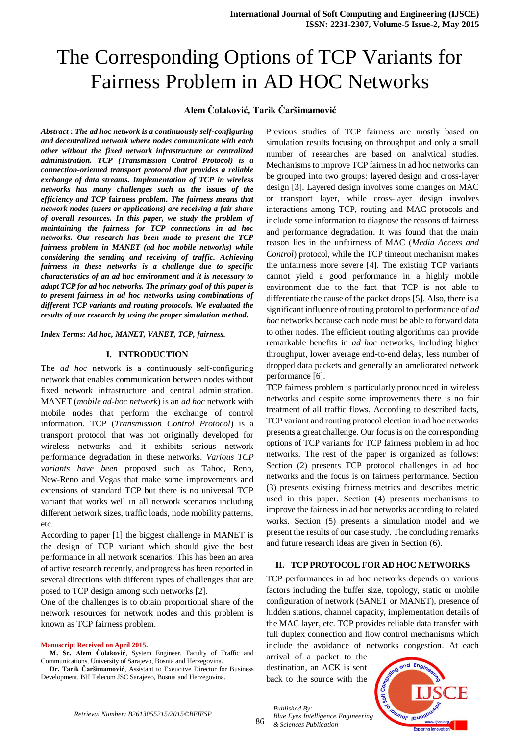# The Corresponding Options of TCP Variants for Fairness Problem in AD HOC Networks

## **Alem Čolaković, Tarik Čaršimamović**

*Abstract* **:** *The ad hoc network is a continuously self-configuring and decentralized network where nodes communicate with each other without the fixed network infrastructure or centralized administration. TCP (Transmission Control Protocol) is a connection-oriented transport protocol that provides a reliable exchange of data streams. Implementation of TCP in wireless networks has many challenges such as the* **issues** *of the efficiency and TCP* **fairness** *problem. The fairness means that network nodes (users or applications) are receiving a fair share of overall resources. In this paper, we study the problem of maintaining the fairness for TCP connections in ad hoc networks. Our research has been made to present the TCP fairness problem in MANET (ad hoc mobile networks) while considering the sending and receiving of traffic. Achieving fairness in these networks is a challenge due to specific characteristics of an ad hoc environment and it is necessary to adapt TCP for ad hoc networks. The primary goal of this paper is to present fairness in ad hoc networks using combinations of different TCP variants and routing protocols. We evaluated the results of our research by using the proper simulation method.* 

*Index Terms: Ad hoc, MANET, VANET, TCP, fairness.*

## **I. INTRODUCTION**

The *ad hoc* network is a continuously self-configuring network that enables communication between nodes without fixed network infrastructure and central administration. MANET (*mobile ad*-*hoc network*) is an *ad hoc* network with mobile nodes that perform the exchange of control information. TCP (*Transmission Control Protocol*) is a transport protocol that was not originally developed for wireless networks and it exhibits serious network performance degradation in these networks. *Various TCP variants have been* proposed such as Tahoe, Reno, New-Reno and Vegas that make some improvements and extensions of standard TCP but there is no universal TCP variant that works well in all network scenarios including different network sizes, traffic loads, node mobility patterns, etc.

According to paper [1] the biggest challenge in MANET is the design of TCP variant which should give the best performance in all network scenarios. This has been an area of active research recently, and progress has been reported in several directions with different types of challenges that are posed to TCP design among such networks [2].

One of the challenges is to obtain proportional share of the network resources for network nodes and this problem is known as TCP fairness problem.

#### **Manuscript Received on April 2015.**

**M. Sc. Alem Čolaković**, System Engineer, Faculty of Traffic and Communications, University of Sarajevo, Bosnia and Herzegovina.

**Dr. Tarik Čaršimamović**, Assistant to Exeucitve Director for Business Development, BH Telecom JSC Sarajevo, Bosnia and Herzegovina.

Previous studies of TCP fairness are mostly based on simulation results focusing on throughput and only a small number of researches are based on analytical studies. Mechanisms to improve TCP fairness in ad hoc networks can be grouped into two groups: layered design and cross-layer design [3]. Layered design involves some changes on MAC or transport layer, while cross-layer design involves interactions among TCP, routing and MAC protocols and include some information to diagnose the reasons of fairness and performance degradation. It was found that the main reason lies in the unfairness of MAC (*Media Access and Control*) protocol, while the TCP timeout mechanism makes the unfairness more severe [4]. The existing TCP variants cannot yield a good performance in a highly mobile environment due to the fact that TCP is not able to differentiate the cause of the packet drops [5]. Also, there is a significant influence of routing protocol to performance of *ad hoc* networks because each node must be able to forward data to other nodes. The efficient routing algorithms can provide remarkable benefits in *ad hoc* networks, including higher throughput, lower average end-to-end delay, less number of dropped data packets and generally an ameliorated network performance [6].

TCP fairness problem is particularly pronounced in wireless networks and despite some improvements there is no fair treatment of all traffic flows. According to described facts, TCP variant and routing protocol election in ad hoc networks presents a great challenge. Our focus is on the corresponding options of TCP variants for TCP fairness problem in ad hoc networks. The rest of the paper is organized as follows: Section (2) presents TCP protocol challenges in ad hoc networks and the focus is on fairness performance. Section (3) presents existing fairness metrics and describes metric used in this paper. Section (4) presents mechanisms to improve the fairness in ad hoc networks according to related works. Section (5) presents a simulation model and we present the results of our case study. The concluding remarks and future research ideas are given in Section (6).

## **II. TCP PROTOCOL FOR AD HOC NETWORKS**

TCP performances in ad hoc networks depends on various factors including the buffer size, topology, static or mobile configuration of network (SANET or MANET), presence of hidden stations, channel capacity, implementation details of the MAC layer, etc. TCP provides reliable data transfer with full duplex connection and flow control mechanisms which include the avoidance of networks congestion. At each

arrival of a packet to the destination, an ACK is sent back to the source with the

*Published By:*

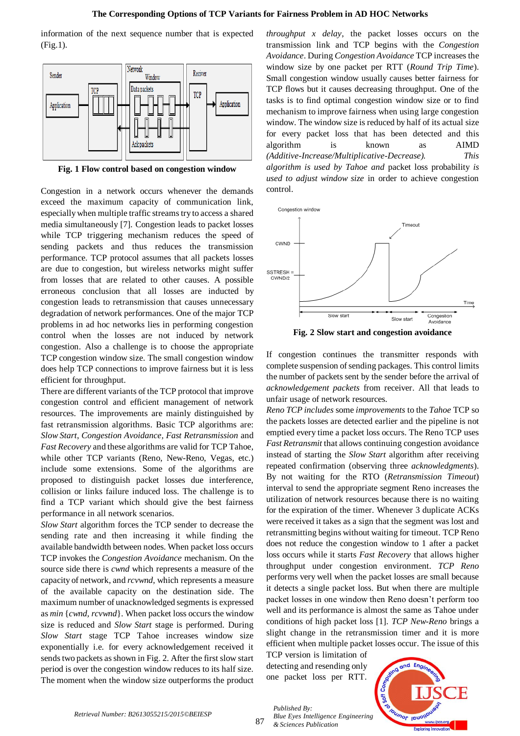information of the next sequence number that is expected (Fig.1).



**Fig. 1 Flow control based on congestion window**

Congestion in a network occurs whenever the demands exceed the maximum capacity of communication link, especially when multiple traffic streams try to access a shared media simultaneously [7]. Congestion leads to packet losses while TCP triggering mechanism reduces the speed of sending packets and thus reduces the transmission performance. TCP protocol assumes that all packets losses are due to congestion, but wireless networks might suffer from losses that are related to other causes. A possible erroneous conclusion that all losses are inducted by congestion leads to retransmission that causes unnecessary degradation of network performances. One of the major TCP problems in ad hoc networks lies in performing congestion control when the losses are not induced by network congestion. Also a challenge is to choose the appropriate TCP congestion window size. The small congestion window does help TCP connections to improve fairness but it is less efficient for throughput.

There are different variants of the TCP protocol that improve congestion control and efficient management of network resources. The improvements are mainly distinguished by fast retransmission algorithms. Basic TCP algorithms are: *Slow Start*, *Congestion Avoidance, Fast Retransmission* and *Fast Recovery* and these algorithms are valid for TCP Tahoe, while other TCP variants (Reno, New-Reno, Vegas, etc.) include some extensions. Some of the algorithms are proposed to distinguish packet losses due interference, collision or links failure induced loss. The challenge is to find a TCP variant which should give the best fairness performance in all network scenarios.

*Slow Start* algorithm forces the TCP sender to decrease the sending rate and then increasing it while finding the available bandwidth between nodes. When packet loss occurs TCP invokes the *Congestion Avoidance* mechanism. On the source side there is *cwnd* which represents a measure of the capacity of network, and *rcvwnd,* which represents a measure of the available capacity on the destination side. The maximum number of unacknowledged segments is expressed as *min* {*cwnd, rcvwnd*}. When packet loss occurs the window size is reduced and *Slow Start* stage is performed. During *Slow Start* stage TCP Tahoe increases window size exponentially i.e. for every acknowledgement received it sends two packets as shown in Fig. 2. After the first slow start period is over the congestion window reduces to its half size. The moment when the window size outperforms the product *throughput x delay*, the packet losses occurs on the transmission link and TCP begins with the *Congestion Avoidance*. During *Congestion Avoidance* TCP increases the window size by one packet per RTT (*Round Trip Time*). Small congestion window usually causes better fairness for TCP flows but it causes decreasing throughput. One of the tasks is to find optimal congestion window size or to find mechanism to improve fairness when using large congestion window. The window size is reduced by half of its actual size for every packet loss that has been detected and this algorithm is known as AIMD *(Additive-Increase/Multiplicative-Decrease). This algorithm is used by Tahoe and* packet loss probability *is used to adjust window size* in order to achieve congestion control.



**Fig. 2 Slow start and congestion avoidance**

If congestion continues the transmitter responds with complete suspension of sending packages. This control limits the number of packets sent by the sender before the arrival of *acknowledgement packets* from receiver. All that leads to unfair usage of network resources.

*Reno TCP includes* some *improvements* to the *Tahoe* TCP so the packets losses are detected earlier and the pipeline is not emptied every time a packet loss occurs. The Reno TCP uses *Fast Retransmit* that allows continuing congestion avoidance instead of starting the *Slow Start* algorithm after receiving repeated confirmation (observing three *acknowledgments*). By not waiting for the RTO (*Retransmission Timeout*) interval to send the appropriate segment Reno increases the utilization of network resources because there is no waiting for the expiration of the timer. Whenever 3 duplicate ACKs were received it takes as a sign that the segment was lost and retransmitting begins without waiting for timeout. TCP Reno does not reduce the congestion window to 1 after a packet loss occurs while it starts *Fast Recovery* that allows higher throughput under congestion environment. *TCP Reno* performs very well when the packet losses are small because it detects a single packet loss. But when there are multiple packet losses in one window then Reno doesn't perform too well and its performance is almost the same as Tahoe under conditions of high packet loss [1]. *TCP New-Reno* brings a slight change in the retransmission timer and it is more efficient when multiple packet losses occur. The issue of this

TCP version is limitation of detecting and resending only one packet loss per RTT.

*Published By:*

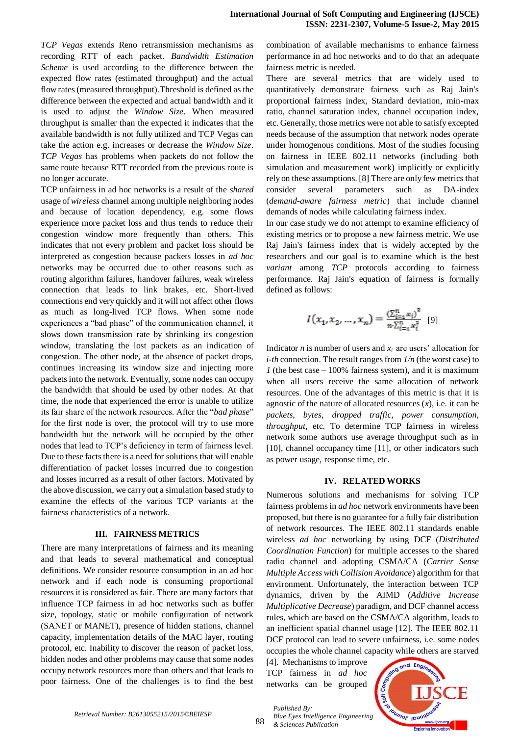*TCP Vegas* extends Reno retransmission mechanisms as recording RTT of each packet. *Bandwidth Estimation Scheme* is used according to the difference between the expected flow rates (estimated throughput) and the actual flow rates (measured throughput).Threshold is defined as the difference between the expected and actual bandwidth and it is used to adjust the *Window Size*. When measured throughput is smaller than the expected it indicates that the available bandwidth is not fully utilized and TCP Vegas can take the action e.g. increases or decrease the *Window Size*. *TCP Vegas* has problems when packets do not follow the same route because RTT recorded from the previous route is no longer accurate.

TCP unfairness in ad hoc networks is a result of the *shared*  usage of *wireless* channel among multiple neighboring nodes and because of location dependency, e.g. some flows experience more packet loss and thus tends to reduce their congestion window more frequently than others. This indicates that not every problem and packet loss should be interpreted as congestion because packets losses in *ad hoc*  networks may be occurred due to other reasons such as routing algorithm failures, handover failures, weak wireless connection that leads to link brakes, etc. Short-lived connections end very quickly and it will not affect other flows as much as long-lived TCP flows. When some node experiences a "bad phase" of the communication channel, it slows down transmission rate by shrinking its congestion window, translating the lost packets as an indication of congestion. The other node, at the absence of packet drops, continues increasing its window size and injecting more packets into the network. Eventually, some nodes can occupy the bandwidth that should be used by other nodes. At that time, the node that experienced the error is unable to utilize its fair share of the network resources. After the "*bad phase*" for the first node is over, the protocol will try to use more bandwidth but the network will be occupied by the other nodes that lead to TCP's deficiency in term of fairness level. Due to these facts there is a need for solutions that will enable differentiation of packet losses incurred due to congestion and losses incurred as a result of other factors. Motivated by the above discussion, we carry out a simulation based study to examine the effects of the various TCP variants at the fairness characteristics of a network.

#### **III. FAIRNESS METRICS**

There are many interpretations of fairness and its meaning and that leads to several mathematical and conceptual definitions. We consider resource consumption in an ad hoc network and if each node is consuming proportional resources it is considered as fair. There are many factors that influence TCP fairness in ad hoc networks such as buffer size, topology, static or mobile configuration of network (SANET or MANET), presence of hidden stations, channel capacity, implementation details of the MAC layer, routing protocol, etc. Inability to discover the reason of packet loss, hidden nodes and other problems may cause that some nodes occupy network resources more than others and that leads to poor fairness. One of the challenges is to find the best combination of available mechanisms to enhance fairness performance in ad hoc networks and to do that an adequate fairness metric is needed.

There are several metrics that are widely used to quantitatively demonstrate fairness such as Raj Jain's proportional fairness index, Standard deviation, min-max ratio, channel saturation index, channel occupation index, etc. Generally, those metrics were not able to satisfy excepted needs because of the assumption that network nodes operate under homogenous conditions. Most of the studies focusing on fairness in IEEE 802.11 networks (including both simulation and measurement work) implicitly or explicitly rely on these assumptions. [8] There are only few metrics that consider several parameters such as DA-index (*demand-aware fairness metric*) that include channel demands of nodes while calculating fairness index.

In our case study we do not attempt to examine efficiency of existing metrics or to propose a new fairness metric. We use Raj Jain's fairness index that is widely accepted by the researchers and our goal is to examine which is the best *variant* among *TCP* protocols according to fairness performance. Raj Jain's equation of fairness is formally defined as follows:

$$
I(x_1, x_2, ..., x_n) = \frac{\left(\sum_{i=1}^n x_i\right)^2}{n \cdot \sum_{i=1}^n x_i^2} \tag{9}
$$

Indicator *n* is number of users and  $x_i$  are users' allocation for *i-th* connection. The result ranges from *1/n* (the worst case) to *1* (the best case – 100% fairness system), and it is maximum when all users receive the same allocation of network resources. One of the advantages of this metric is that it is agnostic of the nature of allocated resources  $(x)$ , i.e. it can be *packets, bytes*, *dropped traffic*, *power consumption, throughput*, etc. To determine TCP fairness in wireless network some authors use average throughput such as in [10], channel occupancy time [11], or other indicators such as power usage, response time, etc.

#### **IV. RELATED WORKS**

Numerous solutions and mechanisms for solving TCP fairness problems in *ad hoc* network environments have been proposed, but there is no guarantee for a fully fair distribution of network resources. The IEEE 802.11 standards enable wireless *ad hoc* networking by using DCF (*Distributed Coordination Function*) for multiple accesses to the shared radio channel and adopting CSMA/CA (*Carrier Sense Multiple Access with Collision Avoidance*) algorithm for that environment. Unfortunately, the interaction between TCP dynamics, driven by the AIMD (*Additive Increase Multiplicative Decrease*) paradigm, and DCF channel access rules, which are based on the CSMA/CA algorithm, leads to an inefficient spatial channel usage [12]. The IEEE 802.11 DCF protocol can lead to severe unfairness, i.e. some nodes occupies the whole channel capacity while others are starved

[4]. Mechanisms to improve TCP fairness in *ad hoc*  networks can be grouped

*Published By:*

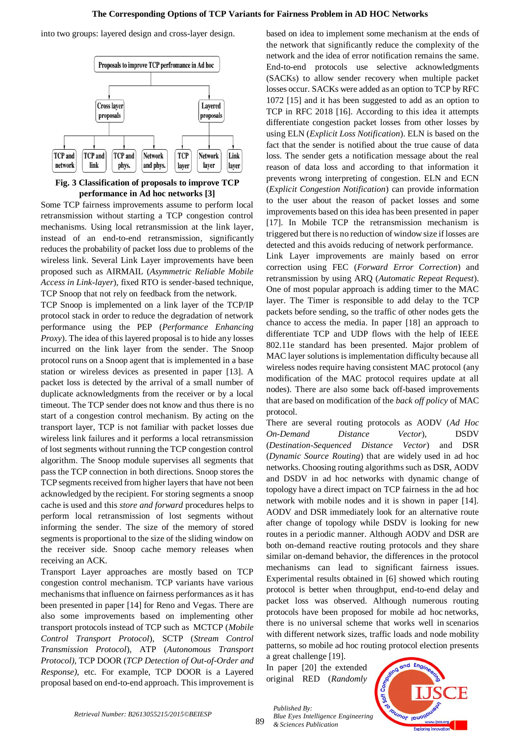#### **The Corresponding Options of TCP Variants for Fairness Problem in AD HOC Networks**

into two groups: layered design and cross-layer design.



**Fig. 3 Classification of proposals to improve TCP performance in Ad hoc networks [3]**

Some TCP fairness improvements assume to perform local retransmission without starting a TCP congestion control mechanisms. Using local retransmission at the link layer, instead of an end-to-end retransmission, significantly reduces the probability of packet loss due to problems of the wireless link. Several Link Layer improvements have been proposed such as AIRMAIL (*Asymmetric Reliable Mobile Access in Link-layer*), fixed RTO is sender-based technique, TCP Snoop that not rely on feedback from the network.

TCP Snoop is implemented on a link layer of the TCP/IP protocol stack in order to reduce the degradation of network performance using the PEP (*Performance Enhancing Proxy*). The idea of this layered proposal is to hide any losses incurred on the link layer from the sender. The Snoop protocol runs on a Snoop agent that is implemented in a base station or wireless devices as presented in paper [13]. A packet loss is detected by the arrival of a small number of duplicate acknowledgments from the receiver or by a local timeout. The TCP sender does not know and thus there is no start of a congestion control mechanism. By acting on the transport layer, TCP is not familiar with packet losses due wireless link failures and it performs a local retransmission of lost segments without running the TCP congestion control algorithm. The Snoop module supervises all segments that pass the TCP connection in both directions. Snoop stores the TCP segments received from higher layers that have not been acknowledged by the recipient. For storing segments a snoop cache is used and this *store and forward* procedures helps to perform local retransmission of lost segments without informing the sender. The size of the memory of stored segments is proportional to the size of the sliding window on the receiver side. Snoop cache memory releases when receiving an ACK.

Transport Layer approaches are mostly based on TCP congestion control mechanism. TCP variants have various mechanisms that influence on fairness performances as it has been presented in paper [14] for Reno and Vegas. There are also some improvements based on implementing other transport protocols instead of TCP such as MCTCP (*Mobile Control Transport Protocol*), SCTP (*Stream Control Transmission Protocol*), ATP (*Autonomous Transport Protocol)*, TCP DOOR (*TCP Detection of Out-of-Order and Response)*, etc. For example, TCP DOOR is a Layered proposal based on end-to-end approach. This improvement is based on idea to implement some mechanism at the ends of the network that significantly reduce the complexity of the network and the idea of error notification remains the same. End-to-end protocols use selective acknowledgments (SACKs) to allow sender recovery when multiple packet losses occur. SACKs were added as an option to TCP by RFC 1072 [15] and it has been suggested to add as an option to TCP in RFC 2018 [16]. According to this idea it attempts differentiate congestion packet losses from other losses by using ELN (*Explicit Loss Notification*). ELN is based on the fact that the sender is notified about the true cause of data loss. The sender gets a notification message about the real reason of data loss and according to that information it prevents wrong interpreting of congestion. ELN and ECN (*Explicit Congestion Notification*) can provide information to the user about the reason of packet losses and some improvements based on this idea has been presented in paper [17]. In Mobile TCP the retransmission mechanism is triggered but there is no reduction of window size if losses are detected and this avoids reducing of network performance.

Link Layer improvements are mainly based on error correction using FEC (*Forward Error Correction*) and retransmission by using ARQ (*Automatic Repeat Request*). One of most popular approach is adding timer to the MAC layer. The Timer is responsible to add delay to the TCP packets before sending, so the traffic of other nodes gets the chance to access the media. In paper [18] an approach to differentiate TCP and UDP flows with the help of IEEE 802.11e standard has been presented. Major problem of MAC layer solutions is implementation difficulty because all wireless nodes require having consistent MAC protocol (any modification of the MAC protocol requires update at all nodes). There are also some back off-based improvements that are based on modification of the *back off policy* of MAC protocol.

There are several routing protocols as AODV (*Ad Hoc On-Demand Distance Vector*), DSDV (*Destination-Sequenced Distance Vector*) and DSR (*Dynamic Source Routing*) that are widely used in ad hoc networks. Choosing routing algorithms such as DSR, AODV and DSDV in ad hoc networks with dynamic change of topology have a direct impact on TCP fairness in the ad hoc network with mobile nodes and it is shown in paper [14]. AODV and DSR immediately look for an alternative route after change of topology while DSDV is looking for new routes in a periodic manner. Although AODV and DSR are both on-demand reactive routing protocols and they share similar on-demand behavior, the differences in the protocol mechanisms can lead to significant fairness issues. Experimental results obtained in [6] showed which routing protocol is better when throughput, end-to-end delay and packet loss was observed. Although numerous routing protocols have been proposed for mobile ad hoc networks, there is no universal scheme that works well in scenarios with different network sizes, traffic loads and node mobility patterns, so mobile ad hoc routing protocol election presents

a great challenge [19]. In paper [20] the extended original RED (*Randomly* 

*Published By:*

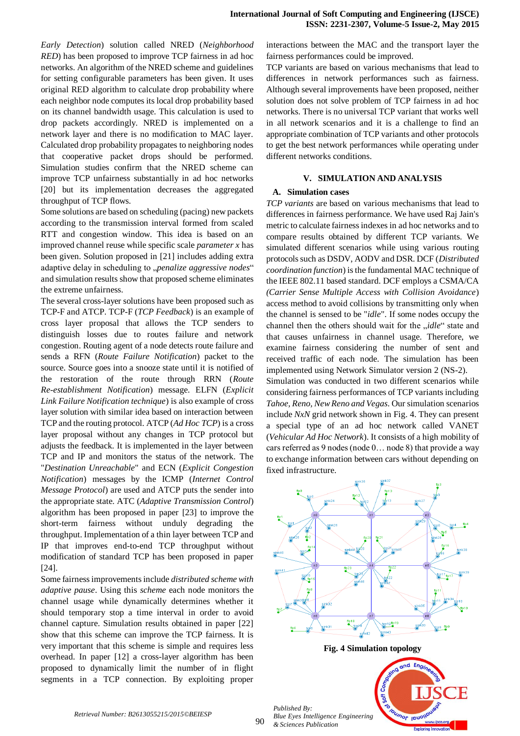*Early Detection*) solution called NRED (*Neighborhood RED*) has been proposed to improve TCP fairness in ad hoc networks. An algorithm of the NRED scheme and guidelines for setting configurable parameters has been given. It uses original RED algorithm to calculate drop probability where each neighbor node computes its local drop probability based on its channel bandwidth usage. This calculation is used to drop packets accordingly. NRED is implemented on a network layer and there is no modification to MAC layer. Calculated drop probability propagates to neighboring nodes that cooperative packet drops should be performed. Simulation studies confirm that the NRED scheme can improve TCP unfairness substantially in ad hoc networks [20] but its implementation decreases the aggregated throughput of TCP flows.

Some solutions are based on scheduling (pacing) new packets according to the transmission interval formed from scaled RTT and congestion window. This idea is based on an improved channel reuse while specific scale *parameter x* has been given. Solution proposed in [21] includes adding extra adaptive delay in scheduling to "penalize aggressive nodes" and simulation results show that proposed scheme eliminates the extreme unfairness.

The several cross-layer solutions have been proposed such as TCP-F and ATCP. TCP-F (*TCP Feedback*) is an example of cross layer proposal that allows the TCP senders to distinguish losses due to routes failure and network congestion. Routing agent of a node detects route failure and sends a RFN (*Route Failure Notification*) packet to the source. Source goes into a snooze state until it is notified of the restoration of the route through RRN (*Route Re-establishment Notification*) message. ELFN (*Explicit Link Failure Notification technique*) is also example of cross layer solution with similar idea based on interaction between TCP and the routing protocol. ATCP (*Ad Hoc TCP*) is a cross layer proposal without any changes in TCP protocol but adjusts the feedback. It is implemented in the layer between TCP and IP and monitors the status of the network. The "*Destination Unreachable*" and ECN (*Explicit Congestion Notification*) messages by the ICMP (*Internet Control Message Protocol*) are used and ATCP puts the sender into the appropriate state. ATC (*Adaptive Transmission Control*) algorithm has been proposed in paper [23] to improve the short-term fairness without unduly degrading the throughput. Implementation of a thin layer between TCP and IP that improves end-to-end TCP throughput without modification of standard TCP has been proposed in paper [24].

Some fairness improvements include *distributed scheme with adaptive pause*. Using this *scheme* each node monitors the channel usage while dynamically determines whether it should temporary stop a time interval in order to avoid channel capture. Simulation results obtained in paper [22] show that this scheme can improve the TCP fairness. It is very important that this scheme is simple and requires less overhead. In paper [12] a cross-layer algorithm has been proposed to dynamically limit the number of in flight segments in a TCP connection. By exploiting proper interactions between the MAC and the transport layer the fairness performances could be improved.

TCP variants are based on various mechanisms that lead to differences in network performances such as fairness*.*  Although several improvements have been proposed, neither solution does not solve problem of TCP fairness in ad hoc networks. There is no universal TCP variant that works well in all network scenarios and it is a challenge to find an appropriate combination of TCP variants and other protocols to get the best network performances while operating under different networks conditions.

## **V. SIMULATION AND ANALYSIS**

## **A. Simulation cases**

*TCP variants* are based on various mechanisms that lead to differences in fairness performance. We have used Raj Jain's metric to calculate fairness indexes in ad hoc networks and to compare results obtained by different TCP variants. We simulated different scenarios while using various routing protocols such as DSDV, AODV and DSR. DCF (*Distributed coordination function*) is the fundamental MAC technique of the IEEE 802.11 based standard. DCF employs a CSMA/CA *(Carrier Sense Multiple Access with Collision Avoidance*) access method to avoid collisions by transmitting only when the channel is sensed to be "*idle*". If some nodes occupy the channel then the others should wait for the *"idle"* state and that causes unfairness in channel usage. Therefore, we examine fairness considering the number of sent and received traffic of each node. The simulation has been implemented using Network Simulator version 2 (NS-2).

Simulation was conducted in two different scenarios while considering fairness performances of TCP variants including *Tahoe, Reno, New Reno and Vegas*. Our simulation scenarios include *NxN* grid network shown in Fig. 4. They can present a special type of an ad hoc network called VANET (*Vehicular Ad Hoc Network*). It consists of a high mobility of cars referred as 9 nodes (node 0… node 8) that provide a way to exchange information between cars without depending on fixed infrastructure.



*Retrieval Number: B2613055215/2015©BEIESP*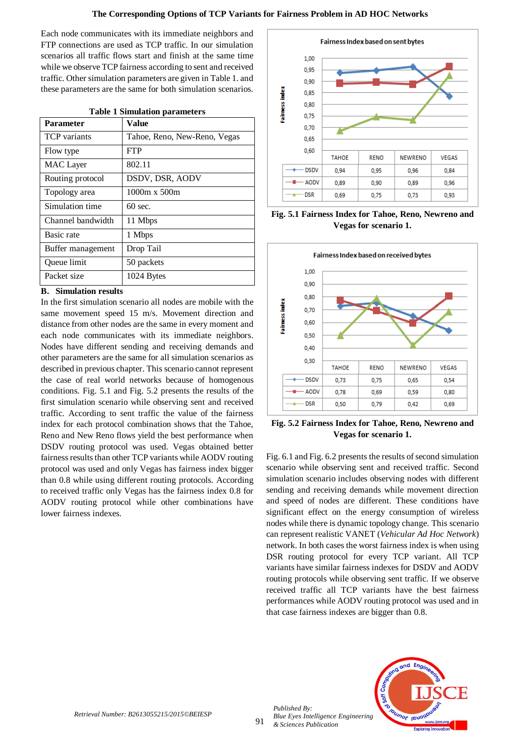Each node communicates with its immediate neighbors and FTP connections are used as TCP traffic. In our simulation scenarios all traffic flows start and finish at the same time while we observe TCP fairness according to sent and received traffic. Other simulation parameters are given in Table 1. and these parameters are the same for both simulation scenarios.

| <b>Table 1 Simulation parameters</b> |                              |
|--------------------------------------|------------------------------|
| <b>Parameter</b>                     | Value                        |
| <b>TCP</b> variants                  | Tahoe, Reno, New-Reno, Vegas |
| Flow type                            | <b>FTP</b>                   |
| <b>MAC</b> Layer                     | 802.11                       |
| Routing protocol                     | DSDV, DSR, AODV              |
| Topology area                        | 1000m x 500m                 |
| Simulation time                      | $60 \text{ sec.}$            |
| Channel bandwidth                    | 11 Mbps                      |
| Basic rate                           | 1 Mbps                       |
| Buffer management                    | Drop Tail                    |
| Queue limit                          | 50 packets                   |
| Packet size                          | 1024 Bytes                   |

### **Table 1 Simulation parameters**

## **B. Simulation results**

In the first simulation scenario all nodes are mobile with the same movement speed 15 m/s. Movement direction and distance from other nodes are the same in every moment and each node communicates with its immediate neighbors. Nodes have different sending and receiving demands and other parameters are the same for all simulation scenarios as described in previous chapter. This scenario cannot represent the case of real world networks because of homogenous conditions. Fig. 5.1 and Fig. 5.2 presents the results of the first simulation scenario while observing sent and received traffic. According to sent traffic the value of the fairness index for each protocol combination shows that the Tahoe, Reno and New Reno flows yield the best performance when DSDV routing protocol was used. Vegas obtained better fairness results than other TCP variants while AODV routing protocol was used and only Vegas has fairness index bigger than 0.8 while using different routing protocols. According to received traffic only Vegas has the fairness index 0.8 for AODV routing protocol while other combinations have lower fairness indexes.



**Fig. 5.1 Fairness Index for Tahoe, Reno, Newreno and Vegas for scenario 1.**



**Fig. 5.2 Fairness Index for Tahoe, Reno, Newreno and Vegas for scenario 1.**

Fig. 6.1 and Fig. 6.2 presents the results of second simulation scenario while observing sent and received traffic. Second simulation scenario includes observing nodes with different sending and receiving demands while movement direction and speed of nodes are different. These conditions have significant effect on the energy consumption of wireless nodes while there is dynamic topology change. This scenario can represent realistic VANET (*Vehicular Ad Hoc Network*) network. In both cases the worst fairness index is when using DSR routing protocol for every TCP variant. All TCP variants have similar fairness indexes for DSDV and AODV routing protocols while observing sent traffic. If we observe received traffic all TCP variants have the best fairness performances while AODV routing protocol was used and in that case fairness indexes are bigger than 0.8.



*Published By:*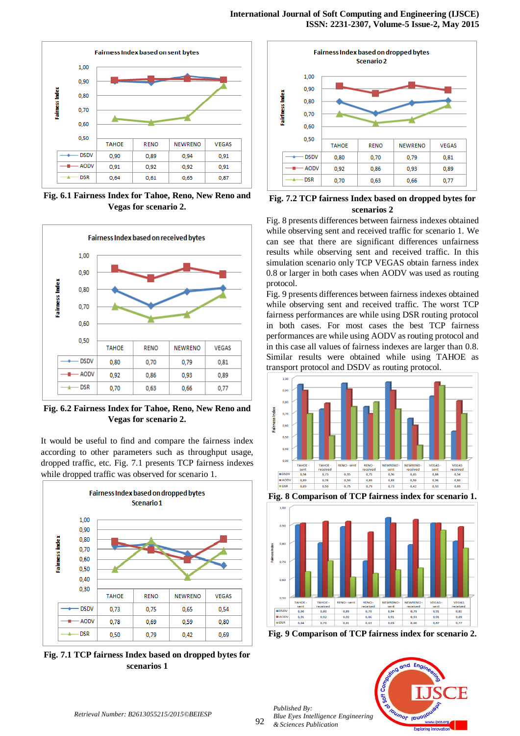

**Fig. 6.1 Fairness Index for Tahoe, Reno, New Reno and Vegas for scenario 2.**



**Fig. 6.2 Fairness Index for Tahoe, Reno, New Reno and Vegas for scenario 2.**

It would be useful to find and compare the fairness index according to other parameters such as throughput usage, dropped traffic, etc. Fig. 7.1 presents TCP fairness indexes while dropped traffic was observed for scenario 1.



**Fig. 7.1 TCP fairness Index based on dropped bytes for scenarios 1**



**Fig. 7.2 TCP fairness Index based on dropped bytes for scenarios 2**

Fig. 8 presents differences between fairness indexes obtained while observing sent and received traffic for scenario 1. We can see that there are significant differences unfairness results while observing sent and received traffic. In this simulation scenario only TCP VEGAS obtain farness index 0.8 or larger in both cases when AODV was used as routing protocol.

Fig. 9 presents differences between fairness indexes obtained while observing sent and received traffic. The worst TCP fairness performances are while using DSR routing protocol in both cases. For most cases the best TCP fairness performances are while using AODV as routing protocol and in this case all values of fairness indexes are larger than 0.8. Similar results were obtained while using TAHOE as transport protocol and DSDV as routing protocol.



**Fig. 8 Comparison of TCP fairness index for scenario 1.**



**Fig. 9 Comparison of TCP fairness index for scenario 2.**



*Published By:*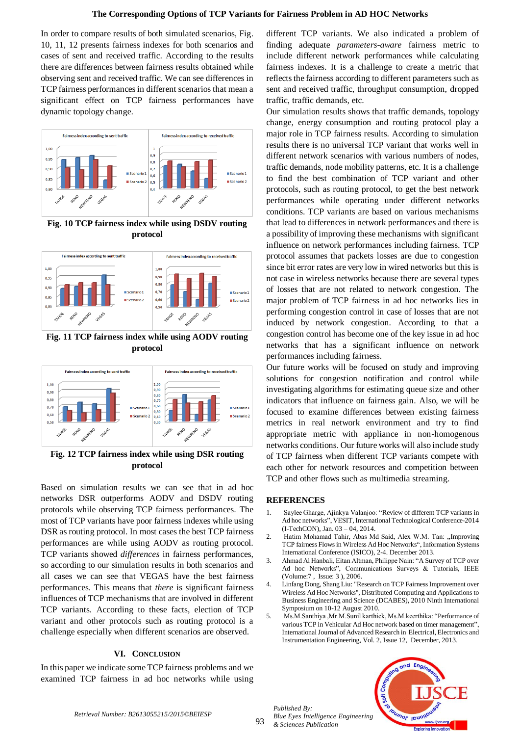In order to compare results of both simulated scenarios, Fig. 10, 11, 12 presents fairness indexes for both scenarios and cases of sent and received traffic. According to the results there are differences between fairness results obtained while observing sent and received traffic. We can see differences in TCP fairness performances in different scenarios that mean a significant effect on TCP fairness performances have dynamic topology change.



**Fig. 10 TCP fairness index while using DSDV routing protocol**



**Fig. 11 TCP fairness index while using AODV routing protocol**



**Fig. 12 TCP fairness index while using DSR routing protocol**

Based on simulation results we can see that in ad hoc networks DSR outperforms AODV and DSDV routing protocols while observing TCP fairness performances. The most of TCP variants have poor fairness indexes while using DSR as routing protocol. In most cases the best TCP fairness performances are while using AODV as routing protocol. TCP variants showed *differences* in fairness performances, so according to our simulation results in both scenarios and all cases we can see that VEGAS have the best fairness performances. This means that *there* is significant fairness influences of TCP mechanisms that are involved in different TCP variants. According to these facts, election of TCP variant and other protocols such as routing protocol is a challenge especially when different scenarios are observed.

#### **VI. CONCLUSION**

In this paper we indicate some TCP fairness problems and we examined TCP fairness in ad hoc networks while using

different TCP variants. We also indicated a problem of finding adequate *parameters-aware* fairness metric to include different network performances while calculating fairness indexes. It is a challenge to create a metric that reflects the fairness according to different parameters such as sent and received traffic, throughput consumption, dropped traffic, traffic demands, etc.

Our simulation results shows that traffic demands, topology change, energy consumption and routing protocol play a major role in TCP fairness results. According to simulation results there is no universal TCP variant that works well in different network scenarios with various numbers of nodes, traffic demands, node mobility patterns, etc. It is a challenge to find the best combination of TCP variant and other protocols, such as routing protocol, to get the best network performances while operating under different networks conditions. TCP variants are based on various mechanisms that lead to differences in network performances and there is a possibility of improving these mechanisms with significant influence on network performances including fairness*.* TCP protocol assumes that packets losses are due to congestion since bit error rates are very low in wired networks but this is not case in wireless networks because there are several types of losses that are not related to network congestion. The major problem of TCP fairness in ad hoc networks lies in performing congestion control in case of losses that are not induced by network congestion. According to that a congestion control has become one of the key issue in ad hoc networks that has a significant influence on network performances including fairness.

Our future works will be focused on study and improving solutions for congestion notification and control while investigating algorithms for estimating queue size and other indicators that influence on fairness gain. Also, we will be focused to examine differences between existing fairness metrics in real network environment and try to find appropriate metric with appliance in non-homogenous networks conditions. Our future works will also include study of TCP fairness when different TCP variants compete with each other for network resources and competition between TCP and other flows such as multimedia streaming.

#### **REFERENCES**

- 1. Saylee Gharge, Ajinkya Valanjoo: "Review of different TCP variants in Ad hoc networks", VESIT, International Technological Conference-2014 (I-TechCON), Jan. 03 – 04, 2014.
- 2. Hatim Mohamad Tahir, Abas Md Said, Alex W.M. Tan: "Improving TCP fairness Flows in Wireless Ad Hoc Networks", Information Systems International Conference (ISICO), 2-4. December 2013.
- 3. Ahmad Al Hanbali, Eitan Altman, Philippe Nain: "A Survey of TCP over Ad hoc Networks", Communications Surveys & Tutorials, IEEE (Volume:7 , Issue: 3 ), 2006.
- 4. Linfang Dong, Shang Liu: "Research on TCP Fairness Improvement over Wireless Ad Hoc Networks", Distributed Computing and Applications to Business Engineering and Science (DCABES), 2010 Ninth International Symposium on 10-12 August 2010.
- 5. Ms.M.Santhiya ,Mr.M.Sunil karthick, Ms.M.keerthika: "Performance of various TCP in Vehicular Ad Hoc network based on timer management", International Journal of Advanced Research in Electrical, Electronics and Instrumentation Engineering, Vol. 2, Issue 12, December, 2013.





*Retrieval Number: B2613055215/2015©BEIESP*

93